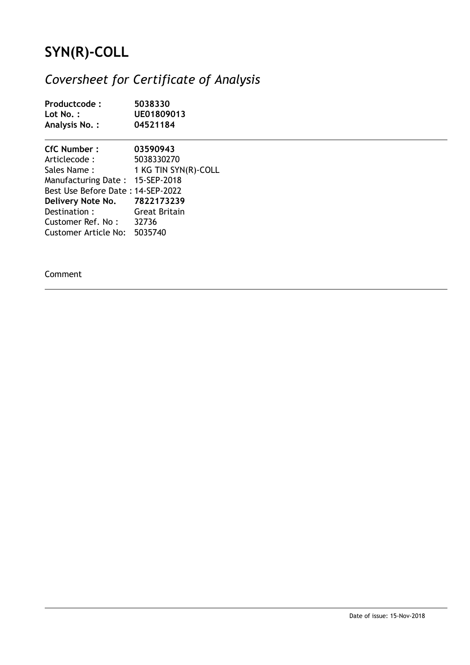## **SYN(R)-COLL**

## *Coversheet for Certificate of Analysis*

| Productcode:<br>Lot No.:<br>Analysis No.: | 5038330<br>UE01809013<br>04521184 |  |
|-------------------------------------------|-----------------------------------|--|
| <b>CfC Number:</b>                        | 03590943                          |  |
| Articlecode :                             | 5038330270                        |  |
|                                           | Sales Name: 1 KG TIN SYN(R)-COLL  |  |
| Manufacturing Date: 15-SEP-2018           |                                   |  |
| Best Use Before Date: 14-SEP-2022         |                                   |  |
| Delivery Note No. 7822173239              |                                   |  |
| Destination:                              | Great Britain                     |  |
| Customer Ref. No: 32736                   |                                   |  |
| Customer Article No: 5035740              |                                   |  |

Comment